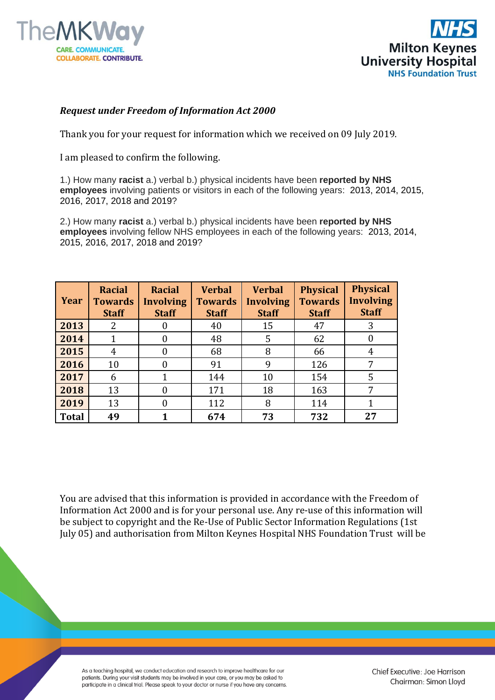



## *Request under Freedom of Information Act 2000*

Thank you for your request for information which we received on 09 July 2019.

I am pleased to confirm the following.

1.) How many **racist** a.) verbal b.) physical incidents have been **reported by NHS employees** involving patients or visitors in each of the following years: 2013, 2014, 2015, 2016, 2017, 2018 and 2019?

2.) How many **racist** a.) verbal b.) physical incidents have been **reported by NHS employees** involving fellow NHS employees in each of the following years: 2013, 2014, 2015, 2016, 2017, 2018 and 2019?

| Year         | <b>Racial</b><br><b>Towards</b><br><b>Staff</b> | <b>Racial</b><br><b>Involving</b><br><b>Staff</b> | <b>Verbal</b><br><b>Towards</b><br><b>Staff</b> | <b>Verbal</b><br><b>Involving</b><br><b>Staff</b> | <b>Physical</b><br><b>Towards</b><br><b>Staff</b> | <b>Physical</b><br><b>Involving</b><br><b>Staff</b> |
|--------------|-------------------------------------------------|---------------------------------------------------|-------------------------------------------------|---------------------------------------------------|---------------------------------------------------|-----------------------------------------------------|
| 2013         | 2                                               | $\theta$                                          | 40                                              | 15                                                | 47                                                | 3                                                   |
| 2014         |                                                 | 0                                                 | 48                                              | 5                                                 | 62                                                | $\Omega$                                            |
| 2015         | 4                                               | 0                                                 | 68                                              | 8                                                 | 66                                                | 4                                                   |
| 2016         | 10                                              | 0                                                 | 91                                              | 9                                                 | 126                                               | 7                                                   |
| 2017         | 6                                               |                                                   | 144                                             | 10                                                | 154                                               | 5                                                   |
| 2018         | 13                                              | 0                                                 | 171                                             | 18                                                | 163                                               | 7                                                   |
| 2019         | 13                                              | $\Omega$                                          | 112                                             | 8                                                 | 114                                               |                                                     |
| <b>Total</b> | 49                                              |                                                   | 674                                             | 73                                                | 732                                               | 27                                                  |

You are advised that this information is provided in accordance with the Freedom of Information Act 2000 and is for your personal use. Any re-use of this information will be subject to copyright and the Re-Use of Public Sector Information Regulations (1st July 05) and authorisation from Milton Keynes Hospital NHS Foundation Trust will be

As a teaching hospital, we conduct education and research to improve healthcare for our patients. During your visit students may be involved in your care, or you may be asked to participate in a clinical trial. Please speak to your doctor or nurse if you have any concerns. Chief Executive: Joe Harrison Chairman: Simon Lloyd